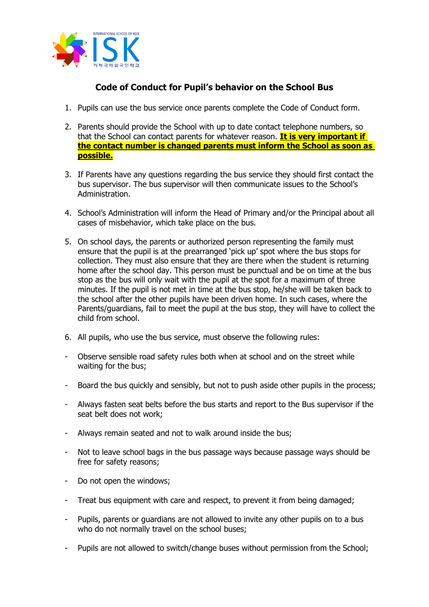

## **Code of Conduct for Pupil's behavior on the School Bus**

- 1. Pupils can use the bus service once parents complete the Code of Conduct form.
- 2. Parents should provide the School with up to date contact telephone numbers, so that the School can contact parents for whatever reason. **It is very important if the contact number is changed parents must inform the School as soon as possible.**
- 3. If Parents have any questions regarding the bus service they should first contact the bus supervisor. The bus supervisor will then communicate issues to the School's Administration.
- 4. School's Administration will inform the Head of Primary and/or the Principal about all cases of misbehavior, which take place on the bus.
- 5. On school days, the parents or authorized person representing the family must ensure that the pupil is at the prearranged 'pick up' spot where the bus stops for collection. They must also ensure that they are there when the student is returning home after the school day. This person must be punctual and be on time at the bus stop as the bus will only wait with the pupil at the spot for a maximum of three minutes. If the pupil is not met in time at the bus stop, he/she will be taken back to the school after the other pupils have been driven home. In such cases, where the Parents/guardians, fail to meet the pupil at the bus stop, they will have to collect the child from school.
- 6. All pupils, who use the bus service, must observe the following rules:
- Observe sensible road safety rules both when at school and on the street while waiting for the bus;
- Board the bus quickly and sensibly, but not to push aside other pupils in the process;
- Always fasten seat belts before the bus starts and report to the Bus supervisor if the seat belt does not work;
- Always remain seated and not to walk around inside the bus;
- Not to leave school bags in the bus passage ways because passage ways should be free for safety reasons;
- Do not open the windows;
- Treat bus equipment with care and respect, to prevent it from being damaged;
- Pupils, parents or guardians are not allowed to invite any other pupils on to a bus who do not normally travel on the school buses;
- Pupils are not allowed to switch/change buses without permission from the School;